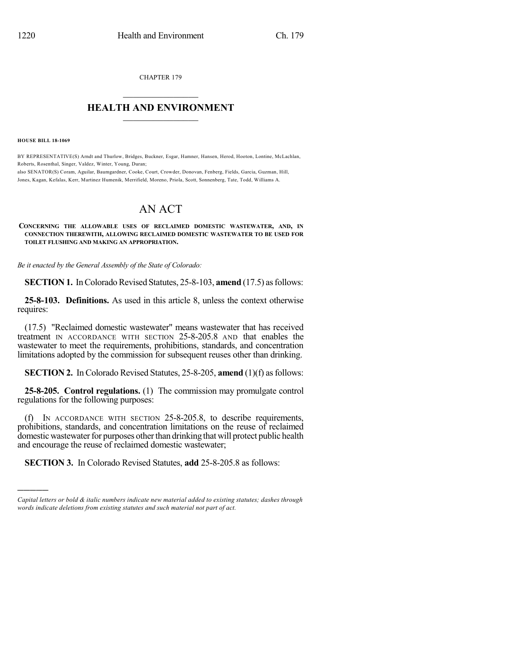CHAPTER 179

## $\overline{\phantom{a}}$  . The set of the set of the set of the set of the set of the set of the set of the set of the set of the set of the set of the set of the set of the set of the set of the set of the set of the set of the set o **HEALTH AND ENVIRONMENT**  $\_$

**HOUSE BILL 18-1069**

)))))

BY REPRESENTATIVE(S) Arndt and Thurlow, Bridges, Buckner, Esgar, Hamner, Hansen, Herod, Hooton, Lontine, McLachlan, Roberts, Rosenthal, Singer, Valdez, Winter, Young, Duran; also SENATOR(S) Coram, Aguilar, Baumgardner, Cooke, Court, Crowder, Donovan, Fenberg, Fields, Garcia, Guzman, Hill,

Jones, Kagan, Kefalas, Kerr, Martinez Humenik, Merrifield, Moreno, Priola, Scott, Sonnenberg, Tate, Todd, Williams A.

# AN ACT

#### **CONCERNING THE ALLOWABLE USES OF RECLAIMED DOMESTIC WASTEWATER, AND, IN CONNECTION THEREWITH, ALLOWING RECLAIMED DOMESTIC WASTEWATER TO BE USED FOR TOILET FLUSHING AND MAKING AN APPROPRIATION.**

*Be it enacted by the General Assembly of the State of Colorado:*

**SECTION 1.** In Colorado Revised Statutes, 25-8-103, **amend** (17.5) as follows:

**25-8-103. Definitions.** As used in this article 8, unless the context otherwise requires:

(17.5) "Reclaimed domestic wastewater" means wastewater that has received treatment IN ACCORDANCE WITH SECTION 25-8-205.8 AND that enables the wastewater to meet the requirements, prohibitions, standards, and concentration limitations adopted by the commission for subsequent reuses other than drinking.

**SECTION 2.** In Colorado Revised Statutes, 25-8-205, **amend** (1)(f) as follows:

**25-8-205. Control regulations.** (1) The commission may promulgate control regulations for the following purposes:

(f) IN ACCORDANCE WITH SECTION 25-8-205.8, to describe requirements, prohibitions, standards, and concentration limitations on the reuse of reclaimed domestic wastewater for purposes other than drinking that will protect public health and encourage the reuse of reclaimed domestic wastewater;

**SECTION 3.** In Colorado Revised Statutes, **add** 25-8-205.8 as follows:

*Capital letters or bold & italic numbers indicate new material added to existing statutes; dashes through words indicate deletions from existing statutes and such material not part of act.*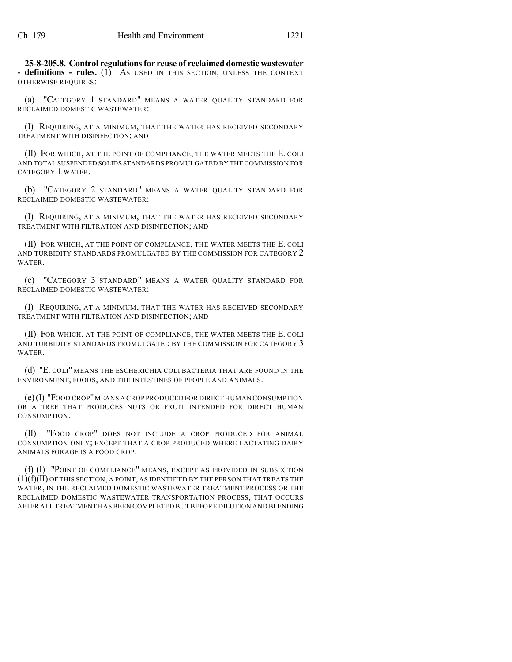**25-8-205.8. Control regulationsfor reuse of reclaimed domestic wastewater - definitions - rules.** (1) AS USED IN THIS SECTION, UNLESS THE CONTEXT OTHERWISE REQUIRES:

(a) "CATEGORY 1 STANDARD" MEANS A WATER QUALITY STANDARD FOR RECLAIMED DOMESTIC WASTEWATER:

(I) REQUIRING, AT A MINIMUM, THAT THE WATER HAS RECEIVED SECONDARY TREATMENT WITH DISINFECTION; AND

(II) FOR WHICH, AT THE POINT OF COMPLIANCE, THE WATER MEETS THE E. COLI AND TOTAL SUSPENDED SOLIDS STANDARDS PROMULGATED BY THE COMMISSION FOR CATEGORY 1 WATER.

(b) "CATEGORY 2 STANDARD" MEANS A WATER QUALITY STANDARD FOR RECLAIMED DOMESTIC WASTEWATER:

(I) REQUIRING, AT A MINIMUM, THAT THE WATER HAS RECEIVED SECONDARY TREATMENT WITH FILTRATION AND DISINFECTION; AND

(II) FOR WHICH, AT THE POINT OF COMPLIANCE, THE WATER MEETS THE E. COLI AND TURBIDITY STANDARDS PROMULGATED BY THE COMMISSION FOR CATEGORY 2 WATER.

(c) "CATEGORY 3 STANDARD" MEANS A WATER QUALITY STANDARD FOR RECLAIMED DOMESTIC WASTEWATER:

(I) REQUIRING, AT A MINIMUM, THAT THE WATER HAS RECEIVED SECONDARY TREATMENT WITH FILTRATION AND DISINFECTION; AND

(II) FOR WHICH, AT THE POINT OF COMPLIANCE, THE WATER MEETS THE E. COLI AND TURBIDITY STANDARDS PROMULGATED BY THE COMMISSION FOR CATEGORY 3 WATER.

(d) "E. COLI" MEANS THE ESCHERICHIA COLI BACTERIA THAT ARE FOUND IN THE ENVIRONMENT, FOODS, AND THE INTESTINES OF PEOPLE AND ANIMALS.

(e)(I) "FOOD CROP"MEANS A CROP PRODUCED FOR DIRECT HUMAN CONSUMPTION OR A TREE THAT PRODUCES NUTS OR FRUIT INTENDED FOR DIRECT HUMAN CONSUMPTION.

(II) "FOOD CROP" DOES NOT INCLUDE A CROP PRODUCED FOR ANIMAL CONSUMPTION ONLY; EXCEPT THAT A CROP PRODUCED WHERE LACTATING DAIRY ANIMALS FORAGE IS A FOOD CROP.

(f) (I) "POINT OF COMPLIANCE" MEANS, EXCEPT AS PROVIDED IN SUBSECTION (1)(f)(II) OF THIS SECTION, A POINT, AS IDENTIFIED BY THE PERSON THAT TREATS THE WATER, IN THE RECLAIMED DOMESTIC WASTEWATER TREATMENT PROCESS OR THE RECLAIMED DOMESTIC WASTEWATER TRANSPORTATION PROCESS, THAT OCCURS AFTER ALL TREATMENT HAS BEEN COMPLETED BUT BEFORE DILUTION AND BLENDING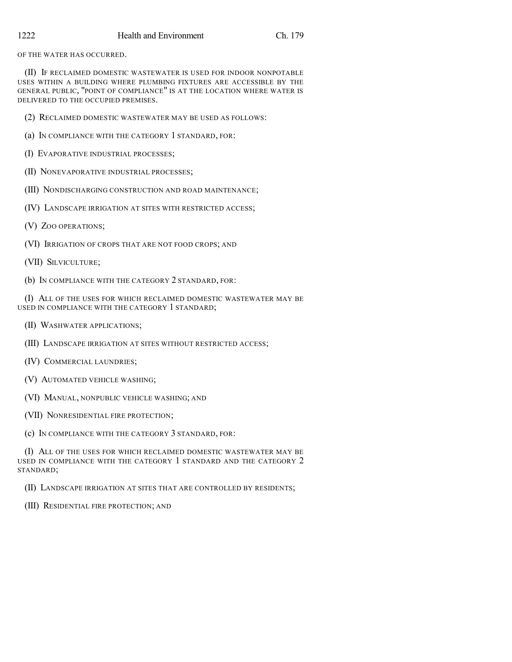OF THE WATER HAS OCCURRED.

(II) IF RECLAIMED DOMESTIC WASTEWATER IS USED FOR INDOOR NONPOTABLE USES WITHIN A BUILDING WHERE PLUMBING FIXTURES ARE ACCESSIBLE BY THE GENERAL PUBLIC, "POINT OF COMPLIANCE" IS AT THE LOCATION WHERE WATER IS DELIVERED TO THE OCCUPIED PREMISES.

(2) RECLAIMED DOMESTIC WASTEWATER MAY BE USED AS FOLLOWS:

- (a) IN COMPLIANCE WITH THE CATEGORY 1 STANDARD, FOR:
- (I) EVAPORATIVE INDUSTRIAL PROCESSES;
- (II) NONEVAPORATIVE INDUSTRIAL PROCESSES;
- (III) NONDISCHARGING CONSTRUCTION AND ROAD MAINTENANCE;
- (IV) LANDSCAPE IRRIGATION AT SITES WITH RESTRICTED ACCESS;
- (V) ZOO OPERATIONS;
- (VI) IRRIGATION OF CROPS THAT ARE NOT FOOD CROPS; AND
- (VII) SILVICULTURE;
- (b) IN COMPLIANCE WITH THE CATEGORY 2 STANDARD, FOR:

(I) ALL OF THE USES FOR WHICH RECLAIMED DOMESTIC WASTEWATER MAY BE USED IN COMPLIANCE WITH THE CATEGORY 1 STANDARD;

- (II) WASHWATER APPLICATIONS;
- (III) LANDSCAPE IRRIGATION AT SITES WITHOUT RESTRICTED ACCESS;
- (IV) COMMERCIAL LAUNDRIES;
- (V) AUTOMATED VEHICLE WASHING;
- (VI) MANUAL, NONPUBLIC VEHICLE WASHING; AND
- (VII) NONRESIDENTIAL FIRE PROTECTION;
- (c) IN COMPLIANCE WITH THE CATEGORY 3 STANDARD, FOR:

(I) ALL OF THE USES FOR WHICH RECLAIMED DOMESTIC WASTEWATER MAY BE USED IN COMPLIANCE WITH THE CATEGORY 1 STANDARD AND THE CATEGORY 2 STANDARD;

(II) LANDSCAPE IRRIGATION AT SITES THAT ARE CONTROLLED BY RESIDENTS;

(III) RESIDENTIAL FIRE PROTECTION; AND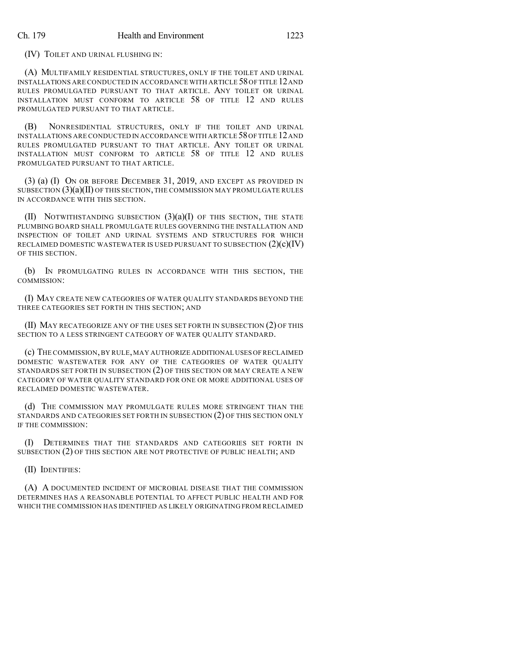(IV) TOILET AND URINAL FLUSHING IN:

(A) MULTIFAMILY RESIDENTIAL STRUCTURES, ONLY IF THE TOILET AND URINAL INSTALLATIONS ARE CONDUCTED IN ACCORDANCE WITH ARTICLE 58OF TITLE 12AND RULES PROMULGATED PURSUANT TO THAT ARTICLE. ANY TOILET OR URINAL INSTALLATION MUST CONFORM TO ARTICLE 58 OF TITLE 12 AND RULES PROMULGATED PURSUANT TO THAT ARTICLE.

(B) NONRESIDENTIAL STRUCTURES, ONLY IF THE TOILET AND URINAL INSTALLATIONS ARE CONDUCTED IN ACCORDANCE WITH ARTICLE 58OF TITLE 12AND RULES PROMULGATED PURSUANT TO THAT ARTICLE. ANY TOILET OR URINAL INSTALLATION MUST CONFORM TO ARTICLE 58 OF TITLE 12 AND RULES PROMULGATED PURSUANT TO THAT ARTICLE.

(3) (a) (I) ON OR BEFORE DECEMBER 31, 2019, AND EXCEPT AS PROVIDED IN SUBSECTION  $(3)(a)(II)$  OF THIS SECTION, THE COMMISSION MAY PROMULGATE RULES IN ACCORDANCE WITH THIS SECTION.

(II) NOTWITHSTANDING SUBSECTION  $(3)(a)(I)$  OF THIS SECTION, THE STATE PLUMBING BOARD SHALL PROMULGATE RULES GOVERNING THE INSTALLATION AND INSPECTION OF TOILET AND URINAL SYSTEMS AND STRUCTURES FOR WHICH RECLAIMED DOMESTIC WASTEWATER IS USED PURSUANT TO SUBSECTION  $(2)(c)(IV)$ OF THIS SECTION.

(b) IN PROMULGATING RULES IN ACCORDANCE WITH THIS SECTION, THE COMMISSION:

(I) MAY CREATE NEW CATEGORIES OF WATER QUALITY STANDARDS BEYOND THE THREE CATEGORIES SET FORTH IN THIS SECTION; AND

(II) MAY RECATEGORIZE ANY OF THE USES SET FORTH IN SUBSECTION (2) OF THIS SECTION TO A LESS STRINGENT CATEGORY OF WATER QUALITY STANDARD.

(c) THE COMMISSION,BY RULE,MAY AUTHORIZE ADDITIONAL USES OF RECLAIMED DOMESTIC WASTEWATER FOR ANY OF THE CATEGORIES OF WATER QUALITY STANDARDS SET FORTH IN SUBSECTION (2) OF THIS SECTION OR MAY CREATE A NEW CATEGORY OF WATER QUALITY STANDARD FOR ONE OR MORE ADDITIONAL USES OF RECLAIMED DOMESTIC WASTEWATER.

(d) THE COMMISSION MAY PROMULGATE RULES MORE STRINGENT THAN THE STANDARDS AND CATEGORIES SET FORTH IN SUBSECTION (2) OF THIS SECTION ONLY IF THE COMMISSION:

(I) DETERMINES THAT THE STANDARDS AND CATEGORIES SET FORTH IN SUBSECTION (2) OF THIS SECTION ARE NOT PROTECTIVE OF PUBLIC HEALTH; AND

(II) IDENTIFIES:

(A) A DOCUMENTED INCIDENT OF MICROBIAL DISEASE THAT THE COMMISSION DETERMINES HAS A REASONABLE POTENTIAL TO AFFECT PUBLIC HEALTH AND FOR WHICH THE COMMISSION HAS IDENTIFIED AS LIKELY ORIGINATING FROM RECLAIMED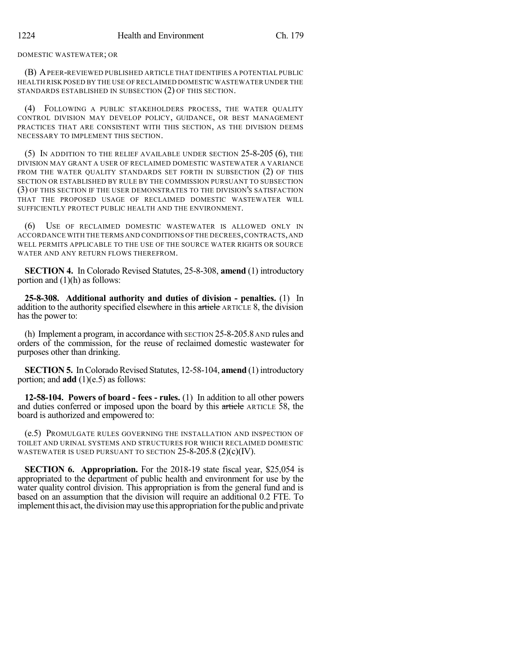#### DOMESTIC WASTEWATER; OR

(B) APEER-REVIEWED PUBLISHED ARTICLE THAT IDENTIFIES A POTENTIAL PUBLIC HEALTH RISK POSED BY THE USE OF RECLAIMED DOMESTIC WASTEWATER UNDER THE STANDARDS ESTABLISHED IN SUBSECTION (2) OF THIS SECTION.

(4) FOLLOWING A PUBLIC STAKEHOLDERS PROCESS, THE WATER QUALITY CONTROL DIVISION MAY DEVELOP POLICY, GUIDANCE, OR BEST MANAGEMENT PRACTICES THAT ARE CONSISTENT WITH THIS SECTION, AS THE DIVISION DEEMS NECESSARY TO IMPLEMENT THIS SECTION.

(5) IN ADDITION TO THE RELIEF AVAILABLE UNDER SECTION 25-8-205 (6), THE DIVISION MAY GRANT A USER OF RECLAIMED DOMESTIC WASTEWATER A VARIANCE FROM THE WATER QUALITY STANDARDS SET FORTH IN SUBSECTION (2) OF THIS SECTION OR ESTABLISHED BY RULE BY THE COMMISSION PURSUANT TO SUBSECTION (3) OF THIS SECTION IF THE USER DEMONSTRATES TO THE DIVISION'S SATISFACTION THAT THE PROPOSED USAGE OF RECLAIMED DOMESTIC WASTEWATER WILL SUFFICIENTLY PROTECT PUBLIC HEALTH AND THE ENVIRONMENT.

(6) USE OF RECLAIMED DOMESTIC WASTEWATER IS ALLOWED ONLY IN ACCORDANCE WITH THE TERMS AND CONDITIONS OF THE DECREES,CONTRACTS,AND WELL PERMITS APPLICABLE TO THE USE OF THE SOURCE WATER RIGHTS OR SOURCE WATER AND ANY RETURN FLOWS THEREFROM.

**SECTION 4.** In Colorado Revised Statutes, 25-8-308, **amend** (1) introductory portion and  $(1)(h)$  as follows:

**25-8-308. Additional authority and duties of division - penalties.** (1) In addition to the authority specified elsewhere in this article ARTICLE 8, the division has the power to:

(h) Implement a program, in accordance with SECTION 25-8-205.8 AND rules and orders of the commission, for the reuse of reclaimed domestic wastewater for purposes other than drinking.

**SECTION 5.** In Colorado Revised Statutes, 12-58-104, **amend** (1) introductory portion; and **add** (1)(e.5) as follows:

**12-58-104. Powers of board - fees - rules.** (1) In addition to all other powers and duties conferred or imposed upon the board by this article ARTICLE 58, the board is authorized and empowered to:

(e.5) PROMULGATE RULES GOVERNING THE INSTALLATION AND INSPECTION OF TOILET AND URINAL SYSTEMS AND STRUCTURES FOR WHICH RECLAIMED DOMESTIC WASTEWATER IS USED PURSUANT TO SECTION 25-8-205.8 (2)(c)(IV).

**SECTION 6. Appropriation.** For the 2018-19 state fiscal year, \$25,054 is appropriated to the department of public health and environment for use by the water quality control division. This appropriation is from the general fund and is based on an assumption that the division will require an additional 0.2 FTE. To implement this act, the division may use this appropriation for the public and private